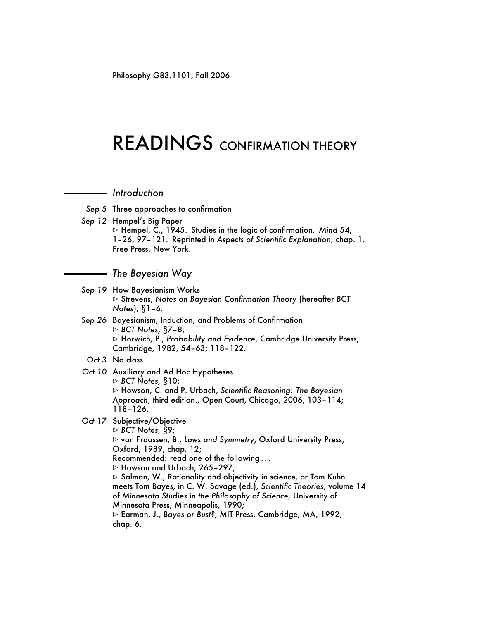Philosophy G83.1101, Fall 2006

## READINGS CONFIRMATION THEORY

*Introduction*

- *Sep 5* Three approaches to confirmation
- *Sep 12* Hempel's Big Paper

 $\triangleright$  Hempel, C., 1945. Studies in the logic of confirmation. *Mind* 54, 1–26, 97–121. Reprinted in *Aspects of Scientific Explanation*, chap. 1. Free Press, New York.

## *The Bayesian Way*

- *Sep 19* How Bayesianism Works B Strevens, *Notes on Bayesian Confirmation Theory* (hereafter *BCT Notes*), §1–6.
- *Sep 26* Bayesianism, Induction, and Problems of Confirmation B *BCT Notes*, §7–8; B Horwich, P., *Probability and Evidence*, Cambridge University Press, Cambridge, 1982, 54–63; 118–122.
- *Oct 3* No class
- *Oct 10* Auxiliary and Ad Hoc Hypotheses B *BCT Notes*, §10; B Howson, C. and P. Urbach, *Scientific Reasoning: The Bayesian Approach*, third edition., Open Court, Chicago, 2006, 103–114; 118–126.
- *Oct 17* Subjective/Objective

B *BCT Notes*, §9; B van Fraassen, B., *Laws and Symmetry*, Oxford University Press, Oxford, 1989, chap. 12; Recommended: read one of the following . . .  $\triangleright$  Howson and Urbach, 265–297;  $\triangleright$  Salmon, W., Rationality and objectivity in science, or Tom Kuhn meets Tom Bayes, in C. W. Savage (ed.), *Scientific Theories*, volume 14 of *Minnesota Studies in the Philosophy of Science*, University of Minnesota Press, Minneapolis, 1990; B Earman, J., *Bayes or Bust?*, MIT Press, Cambridge, MA, 1992, chap. 6.